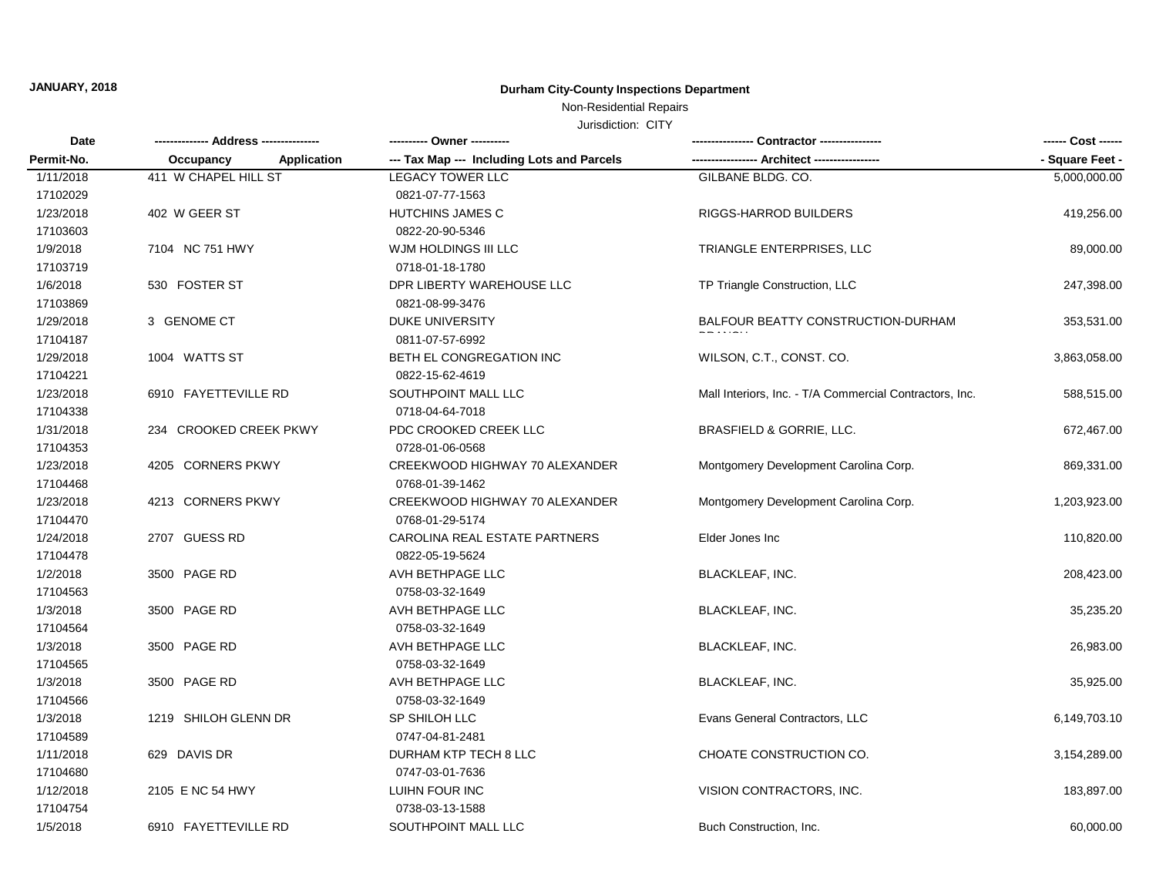# **JANUARY, 2018 Durham City-County Inspections Department**

Non-Residential Repairs

Jurisdiction: CITY

| Date       |                                 | ---------- Owner ----------                |                                                         | ------ Cost ------ |
|------------|---------------------------------|--------------------------------------------|---------------------------------------------------------|--------------------|
| Permit-No. | Occupancy<br><b>Application</b> | --- Tax Map --- Including Lots and Parcels | --- Architect ----                                      | - Square Feet -    |
| 1/11/2018  | 411 W CHAPEL HILL ST            | <b>LEGACY TOWER LLC</b>                    | GILBANE BLDG. CO.                                       | 5,000,000.00       |
| 17102029   |                                 | 0821-07-77-1563                            |                                                         |                    |
| 1/23/2018  | 402 W GEER ST                   | HUTCHINS JAMES C                           | RIGGS-HARROD BUILDERS                                   | 419,256.00         |
| 17103603   |                                 | 0822-20-90-5346                            |                                                         |                    |
| 1/9/2018   | 7104 NC 751 HWY                 | WJM HOLDINGS III LLC                       | TRIANGLE ENTERPRISES, LLC                               | 89,000.00          |
| 17103719   |                                 | 0718-01-18-1780                            |                                                         |                    |
| 1/6/2018   | 530 FOSTER ST                   | DPR LIBERTY WAREHOUSE LLC                  | TP Triangle Construction, LLC                           | 247,398.00         |
| 17103869   |                                 | 0821-08-99-3476                            |                                                         |                    |
| 1/29/2018  | 3 GENOME CT                     | <b>DUKE UNIVERSITY</b>                     | BALFOUR BEATTY CONSTRUCTION-DURHAM                      | 353,531.00         |
| 17104187   |                                 | 0811-07-57-6992                            |                                                         |                    |
| 1/29/2018  | 1004 WATTS ST                   | BETH EL CONGREGATION INC                   | WILSON, C.T., CONST. CO.                                | 3,863,058.00       |
| 17104221   |                                 | 0822-15-62-4619                            |                                                         |                    |
| 1/23/2018  | 6910 FAYETTEVILLE RD            | SOUTHPOINT MALL LLC                        | Mall Interiors, Inc. - T/A Commercial Contractors, Inc. | 588,515.00         |
| 17104338   |                                 | 0718-04-64-7018                            |                                                         |                    |
| 1/31/2018  | 234 CROOKED CREEK PKWY          | PDC CROOKED CREEK LLC                      | BRASFIELD & GORRIE, LLC.                                | 672,467.00         |
| 17104353   |                                 | 0728-01-06-0568                            |                                                         |                    |
| 1/23/2018  | 4205 CORNERS PKWY               | CREEKWOOD HIGHWAY 70 ALEXANDER             | Montgomery Development Carolina Corp.                   | 869,331.00         |
| 17104468   |                                 | 0768-01-39-1462                            |                                                         |                    |
| 1/23/2018  | 4213 CORNERS PKWY               | CREEKWOOD HIGHWAY 70 ALEXANDER             | Montgomery Development Carolina Corp.                   | 1,203,923.00       |
| 17104470   |                                 | 0768-01-29-5174                            |                                                         |                    |
| 1/24/2018  | 2707 GUESS RD                   | CAROLINA REAL ESTATE PARTNERS              | Elder Jones Inc                                         | 110,820.00         |
| 17104478   |                                 | 0822-05-19-5624                            |                                                         |                    |
| 1/2/2018   | 3500 PAGE RD                    | AVH BETHPAGE LLC                           | <b>BLACKLEAF, INC.</b>                                  | 208,423.00         |
| 17104563   |                                 | 0758-03-32-1649                            |                                                         |                    |
| 1/3/2018   | 3500 PAGE RD                    | AVH BETHPAGE LLC                           | <b>BLACKLEAF, INC.</b>                                  | 35,235.20          |
| 17104564   |                                 | 0758-03-32-1649                            |                                                         |                    |
| 1/3/2018   | 3500 PAGE RD                    | AVH BETHPAGE LLC                           | <b>BLACKLEAF, INC.</b>                                  | 26,983.00          |
| 17104565   |                                 | 0758-03-32-1649                            |                                                         |                    |
| 1/3/2018   | 3500 PAGE RD                    | AVH BETHPAGE LLC                           | <b>BLACKLEAF, INC.</b>                                  | 35,925.00          |
| 17104566   |                                 | 0758-03-32-1649                            |                                                         |                    |
| 1/3/2018   | 1219 SHILOH GLENN DR            | SP SHILOH LLC                              | Evans General Contractors, LLC                          | 6,149,703.10       |
| 17104589   |                                 | 0747-04-81-2481                            |                                                         |                    |
| 1/11/2018  | 629 DAVIS DR                    | DURHAM KTP TECH 8 LLC                      | CHOATE CONSTRUCTION CO.                                 | 3,154,289.00       |
| 17104680   |                                 | 0747-03-01-7636                            |                                                         |                    |
| 1/12/2018  | 2105 E NC 54 HWY                | LUIHN FOUR INC                             | VISION CONTRACTORS, INC.                                | 183,897.00         |
| 17104754   |                                 | 0738-03-13-1588                            |                                                         |                    |
| 1/5/2018   | 6910 FAYETTEVILLE RD            | SOUTHPOINT MALL LLC                        | Buch Construction, Inc.                                 | 60,000.00          |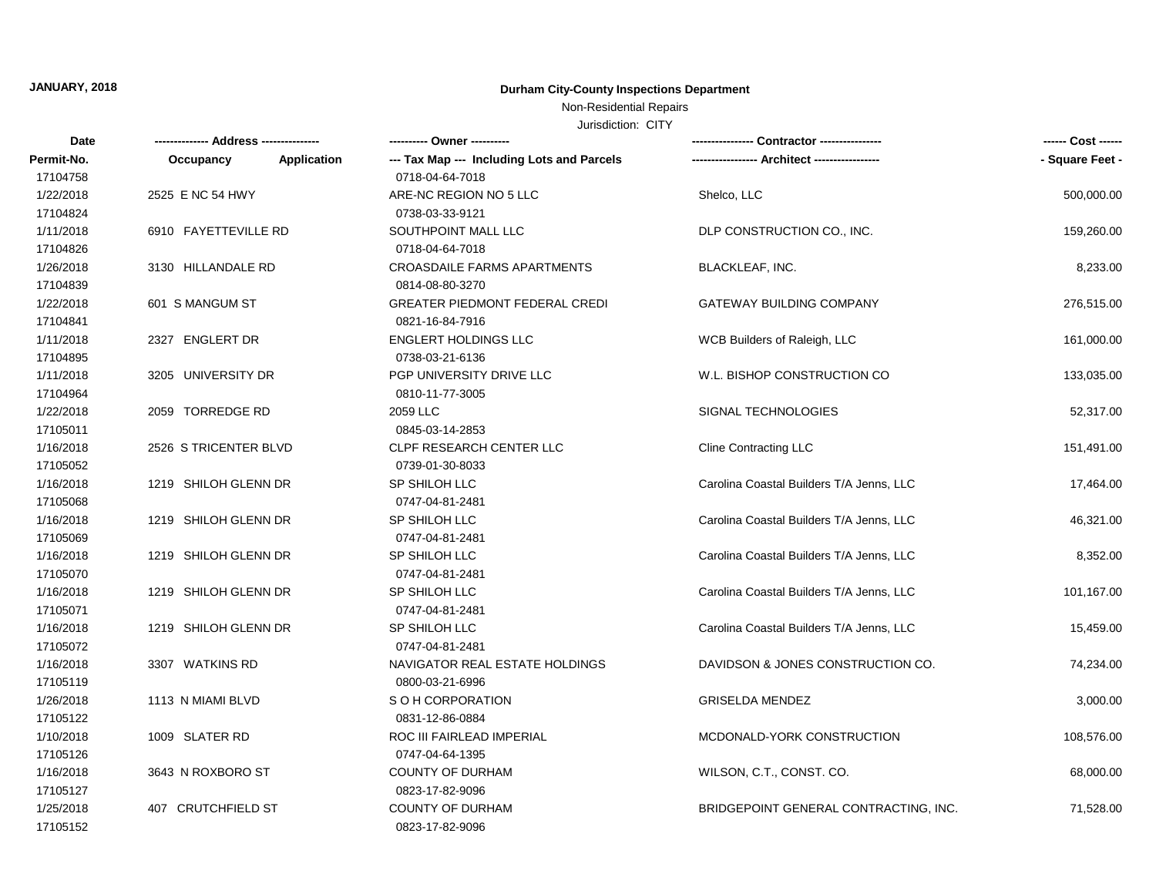# **JANUARY, 2018 Durham City-County Inspections Department**

### Non-Residential Repairs

Jurisdiction: CITY

| Date       |                                 | ---------- Owner ----------                |                                          |                 |
|------------|---------------------------------|--------------------------------------------|------------------------------------------|-----------------|
| Permit-No. | <b>Application</b><br>Occupancy | --- Tax Map --- Including Lots and Parcels |                                          | - Square Feet - |
| 17104758   |                                 | 0718-04-64-7018                            |                                          |                 |
| 1/22/2018  | 2525 E NC 54 HWY                | ARE-NC REGION NO 5 LLC                     | Shelco, LLC                              | 500,000.00      |
| 17104824   |                                 | 0738-03-33-9121                            |                                          |                 |
| 1/11/2018  | 6910 FAYETTEVILLE RD            | SOUTHPOINT MALL LLC                        | DLP CONSTRUCTION CO., INC.               | 159,260.00      |
| 17104826   |                                 | 0718-04-64-7018                            |                                          |                 |
| 1/26/2018  | 3130 HILLANDALE RD              | CROASDAILE FARMS APARTMENTS                | <b>BLACKLEAF, INC.</b>                   | 8,233.00        |
| 17104839   |                                 | 0814-08-80-3270                            |                                          |                 |
| 1/22/2018  | 601 S MANGUM ST                 | <b>GREATER PIEDMONT FEDERAL CREDI</b>      | <b>GATEWAY BUILDING COMPANY</b>          | 276,515.00      |
| 17104841   |                                 | 0821-16-84-7916                            |                                          |                 |
| 1/11/2018  | 2327 ENGLERT DR                 | <b>ENGLERT HOLDINGS LLC</b>                | WCB Builders of Raleigh, LLC             | 161,000.00      |
| 17104895   |                                 | 0738-03-21-6136                            |                                          |                 |
| 1/11/2018  | 3205 UNIVERSITY DR              | PGP UNIVERSITY DRIVE LLC                   | W.L. BISHOP CONSTRUCTION CO              | 133,035.00      |
| 17104964   |                                 | 0810-11-77-3005                            |                                          |                 |
| 1/22/2018  | 2059 TORREDGE RD                | 2059 LLC                                   | SIGNAL TECHNOLOGIES                      | 52,317.00       |
| 17105011   |                                 | 0845-03-14-2853                            |                                          |                 |
| 1/16/2018  | 2526 S TRICENTER BLVD           | <b>CLPF RESEARCH CENTER LLC</b>            | <b>Cline Contracting LLC</b>             | 151,491.00      |
| 17105052   |                                 | 0739-01-30-8033                            |                                          |                 |
| 1/16/2018  | 1219 SHILOH GLENN DR            | SP SHILOH LLC                              | Carolina Coastal Builders T/A Jenns, LLC | 17,464.00       |
| 17105068   |                                 | 0747-04-81-2481                            |                                          |                 |
| 1/16/2018  | 1219 SHILOH GLENN DR            | <b>SP SHILOH LLC</b>                       | Carolina Coastal Builders T/A Jenns, LLC | 46,321.00       |
| 17105069   |                                 | 0747-04-81-2481                            |                                          |                 |
| 1/16/2018  | 1219 SHILOH GLENN DR            | SP SHILOH LLC                              | Carolina Coastal Builders T/A Jenns, LLC | 8,352.00        |
| 17105070   |                                 | 0747-04-81-2481                            |                                          |                 |
| 1/16/2018  | 1219 SHILOH GLENN DR            | SP SHILOH LLC                              | Carolina Coastal Builders T/A Jenns, LLC | 101,167.00      |
| 17105071   |                                 | 0747-04-81-2481                            |                                          |                 |
| 1/16/2018  | 1219 SHILOH GLENN DR            | SP SHILOH LLC                              | Carolina Coastal Builders T/A Jenns, LLC | 15,459.00       |
| 17105072   |                                 | 0747-04-81-2481                            |                                          |                 |
| 1/16/2018  | 3307 WATKINS RD                 | NAVIGATOR REAL ESTATE HOLDINGS             | DAVIDSON & JONES CONSTRUCTION CO.        | 74,234.00       |
| 17105119   |                                 | 0800-03-21-6996                            |                                          |                 |
| 1/26/2018  | 1113 N MIAMI BLVD               | S O H CORPORATION                          | <b>GRISELDA MENDEZ</b>                   | 3,000.00        |
| 17105122   |                                 | 0831-12-86-0884                            |                                          |                 |
| 1/10/2018  | 1009 SLATER RD                  | ROC III FAIRLEAD IMPERIAL                  | MCDONALD-YORK CONSTRUCTION               | 108,576.00      |
| 17105126   |                                 | 0747-04-64-1395                            |                                          |                 |
| 1/16/2018  | 3643 N ROXBORO ST               | <b>COUNTY OF DURHAM</b>                    | WILSON, C.T., CONST. CO.                 | 68,000.00       |
| 17105127   |                                 | 0823-17-82-9096                            |                                          |                 |
| 1/25/2018  | 407 CRUTCHFIELD ST              | <b>COUNTY OF DURHAM</b>                    | BRIDGEPOINT GENERAL CONTRACTING, INC.    | 71,528.00       |
| 17105152   |                                 | 0823-17-82-9096                            |                                          |                 |